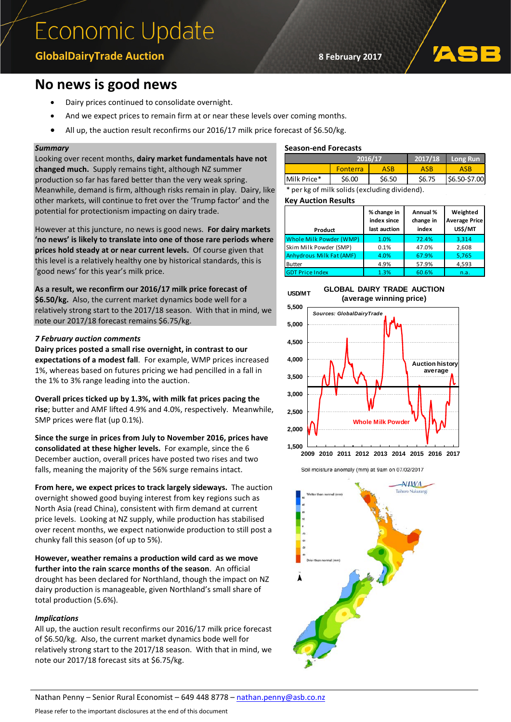# Economic Update

## **GlobalDairyTrade Auction 8 February 2017**

# **No news is good news**

- Dairy prices continued to consolidate overnight.
- And we expect prices to remain firm at or near these levels over coming months.
- All up, the auction result reconfirms our 2016/17 milk price forecast of \$6.50/kg.

### *Summary*

Looking over recent months, **dairy market fundamentals have not changed much.** Supply remains tight, although NZ summer production so far has fared better than the very weak spring. Meanwhile, demand is firm, although risks remain in play. Dairy, like other markets, will continue to fret over the 'Trump factor' and the potential for protectionism impacting on dairy trade.

However at this juncture, no news is good news. **For dairy markets 'no news' is likely to translate into one of those rare periods where prices hold steady at or near current levels.** Of course given that this level is a relatively healthy one by historical standards, this is 'good news' for this year's milk price.

**As a result, we reconfirm our 2016/17 milk price forecast of \$6.50/kg.** Also, the current market dynamics bode well for a relatively strong start to the 2017/18 season. With that in mind, we note our 2017/18 forecast remains \$6.75/kg.

#### *7 February auction comments*

**Dairy prices posted a small rise overnight, in contrast to our expectations of a modest fall**. For example, WMP prices increased 1%, whereas based on futures pricing we had pencilled in a fall in the 1% to 3% range leading into the auction.

**Overall prices ticked up by 1.3%, with milk fat prices pacing the rise**; butter and AMF lifted 4.9% and 4.0%, respectively. Meanwhile, SMP prices were flat (up 0.1%).

**Since the surge in prices from July to November 2016, prices have consolidated at these higher levels.** For example, since the 6 December auction, overall prices have posted two rises and two falls, meaning the majority of the 56% surge remains intact.

**From here, we expect prices to track largely sideways.** The auction overnight showed good buying interest from key regions such as North Asia (read China), consistent with firm demand at current price levels. Looking at NZ supply, while production has stabilised over recent months, we expect nationwide production to still post a chunky fall this season (of up to 5%).

**However, weather remains a production wild card as we move further into the rain scarce months of the season**. An official drought has been declared for Northland, though the impact on NZ dairy production is manageable, given Northland's small share of total production (5.6%).

## *Implications*

All up, the auction result reconfirms our 2016/17 milk price forecast of \$6.50/kg. Also, the current market dynamics bode well for relatively strong start to the 2017/18 season. With that in mind, we note our 2017/18 forecast sits at \$6.75/kg.

#### **Season-end Forecasts**

|             | 2016/17         |        | 2017/18 | Long Run      |
|-------------|-----------------|--------|---------|---------------|
|             | <b>Fonterra</b> | ASB    | ASB     | ASB           |
| Milk Price* | \$6.00          | \$6.50 | \$6.75  | \$6.50-\$7.00 |

per kg of milk solids (excluding dividend).

**Key Auction Results** 

| Product                         | % change in<br>index since<br>last auction | Annual %<br>change in<br>index | Weighted<br><b>Average Price</b><br>US\$/MT |
|---------------------------------|--------------------------------------------|--------------------------------|---------------------------------------------|
| Whole Milk Powder (WMP)         | 1.0%                                       | 72.4%                          | 3.314                                       |
| Skim Milk Powder (SMP)          | 0.1%                                       | 47.0%                          | 2,608                                       |
| <b>Anhydrous Milk Fat (AMF)</b> | 4.0%                                       | 67.9%                          | 5,765                                       |
| <b>Butter</b>                   | 4.9%                                       | 57.9%                          | 4,593                                       |
| <b>GDT Price Index</b>          | 1.3%                                       | 60.6%                          | n.a.                                        |



**GLOBAL DAIRY TRADE AUCTION (average winning price)**



Soil moisture anomaly (mm) at 9am on 07/02/2017